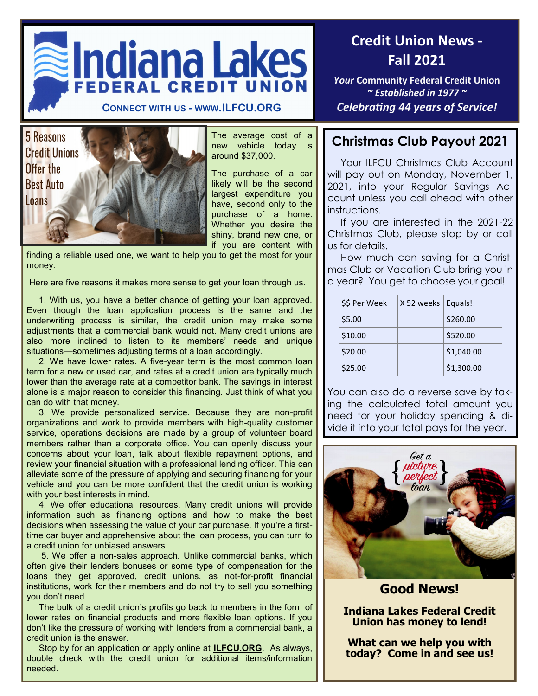



The average cost of a new vehicle today is around \$37,000.

The purchase of a car likely will be the second largest expenditure you have, second only to the purchase of a home. Whether you desire the shiny, brand new one, or if you are content with

finding a reliable used one, we want to help you to get the most for your money.

Here are five reasons it makes more sense to get your loan through us.

 1. With us, you have a better chance of getting your loan approved. Even though the loan application process is the same and the underwriting process is similar, the credit union may make some adjustments that a commercial bank would not. Many credit unions are also more inclined to listen to its members' needs and unique situations—sometimes adjusting terms of a loan accordingly.

 2. We have lower rates. A five-year term is the most common loan term for a new or used car, and rates at a credit union are typically much lower than the average rate at a competitor bank. The savings in interest alone is a major reason to consider this financing. Just think of what you can do with that money.

 3. We provide personalized service. Because they are non-profit organizations and work to provide members with high-quality customer service, operations decisions are made by a group of volunteer board members rather than a corporate office. You can openly discuss your concerns about your loan, talk about flexible repayment options, and review your financial situation with a professional lending officer. This can alleviate some of the pressure of applying and securing financing for your vehicle and you can be more confident that the credit union is working with your best interests in mind.

 4. We offer educational resources. Many credit unions will provide information such as financing options and how to make the best decisions when assessing the value of your car purchase. If you're a firsttime car buyer and apprehensive about the loan process, you can turn to a credit union for unbiased answers.

 5. We offer a non-sales approach. Unlike commercial banks, which often give their lenders bonuses or some type of compensation for the loans they get approved, credit unions, as not-for-profit financial institutions, work for their members and do not try to sell you something you don't need.

 The bulk of a credit union's profits go back to members in the form of lower rates on financial products and more flexible loan options. If you don't like the pressure of working with lenders from a commercial bank, a credit union is the answer.

 Stop by for an application or apply online at **ILFCU.ORG**. As always, double check with the credit union for additional items/information needed.

# **Credit Union News - Fall 2021**

*Your* **Community Federal Credit Union**  *~ Established in 1977 ~* **CONNECT WITH US - WWW.ILFCU.ORG** *Celebrating 44 years of Service!*

# **Christmas Club Payout 2021**

Your ILFCU Christmas Club Account will pay out on Monday, November 1, 2021, into your Regular Savings Account unless you call ahead with other instructions.

 If you are interested in the 2021-22 Christmas Club, please stop by or call us for details.

 How much can saving for a Christmas Club or Vacation Club bring you in a year? You get to choose your goal!

| \$\$ Per Week | X 52 weeks | Equals!!   |
|---------------|------------|------------|
| \$5.00        |            | \$260.00   |
| \$10.00       |            | \$520.00   |
| \$20.00       |            | \$1,040.00 |
| \$25.00       |            | \$1,300.00 |

You can also do a reverse save by taking the calculated total amount you need for your holiday spending & divide it into your total pays for the year.



**Good News!**

**Indiana Lakes Federal Credit Union has money to lend!**

**What can we help you with today? Come in and see us!**